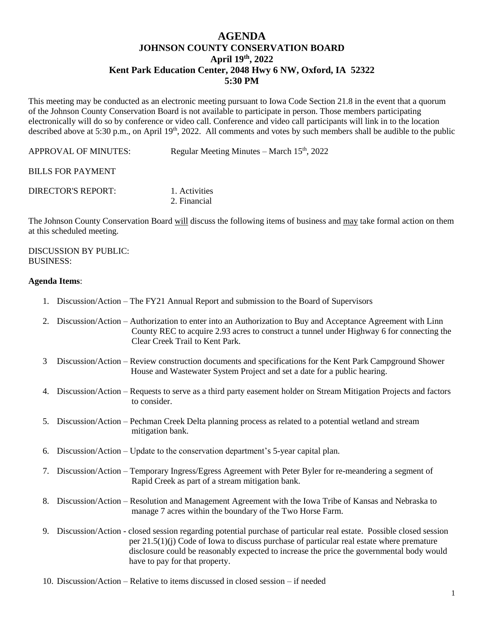# **AGENDA JOHNSON COUNTY CONSERVATION BOARD April 19th , 2022 Kent Park Education Center, 2048 Hwy 6 NW, Oxford, IA 52322 5:30 PM**

This meeting may be conducted as an electronic meeting pursuant to Iowa Code Section 21.8 in the event that a quorum of the Johnson County Conservation Board is not available to participate in person. Those members participating electronically will do so by conference or video call. Conference and video call participants will link in to the location described above at 5:30 p.m., on April 19<sup>th</sup>, 2022. All comments and votes by such members shall be audible to the public

APPROVAL OF MINUTES: Regular Meeting Minutes – March  $15<sup>th</sup>$ , 2022

## BILLS FOR PAYMENT

DIRECTOR'S REPORT: 1. Activities

2. Financial

The Johnson County Conservation Board will discuss the following items of business and may take formal action on them at this scheduled meeting.

#### DISCUSSION BY PUBLIC: BUSINESS:

## **Agenda Items**:

- 1. Discussion/Action The FY21 Annual Report and submission to the Board of Supervisors
- 2. Discussion/Action Authorization to enter into an Authorization to Buy and Acceptance Agreement with Linn County REC to acquire 2.93 acres to construct a tunnel under Highway 6 for connecting the Clear Creek Trail to Kent Park.
- 3 Discussion/Action Review construction documents and specifications for the Kent Park Campground Shower House and Wastewater System Project and set a date for a public hearing.
- 4. Discussion/Action Requests to serve as a third party easement holder on Stream Mitigation Projects and factors to consider.
- 5. Discussion/Action Pechman Creek Delta planning process as related to a potential wetland and stream mitigation bank.
- 6. Discussion/Action Update to the conservation department's 5-year capital plan.
- 7. Discussion/Action Temporary Ingress/Egress Agreement with Peter Byler for re-meandering a segment of Rapid Creek as part of a stream mitigation bank.
- 8. Discussion/Action Resolution and Management Agreement with the Iowa Tribe of Kansas and Nebraska to manage 7 acres within the boundary of the Two Horse Farm.
- 9. Discussion/Action closed session regarding potential purchase of particular real estate. Possible closed session per 21.5(1)(j) Code of Iowa to discuss purchase of particular real estate where premature disclosure could be reasonably expected to increase the price the governmental body would have to pay for that property.
- 10. Discussion/Action Relative to items discussed in closed session if needed